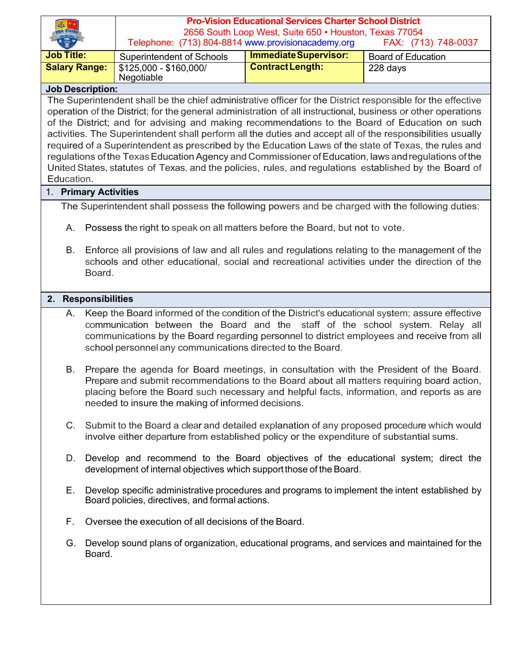|                                                                                                                                                                                                                |        | <b>Pro-Vision Educational Services Charter School District</b>                                                                      |                              |                           |  |  |
|----------------------------------------------------------------------------------------------------------------------------------------------------------------------------------------------------------------|--------|-------------------------------------------------------------------------------------------------------------------------------------|------------------------------|---------------------------|--|--|
|                                                                                                                                                                                                                |        | 2656 South Loop West, Suite 650 · Houston, Texas 77054<br>Telephone: (713) 804-8814 www.provisionacademy.org<br>FAX: (713) 748-0037 |                              |                           |  |  |
| <b>Job Title:</b>                                                                                                                                                                                              |        | <b>Superintendent of Schools</b>                                                                                                    | <b>Immediate Supervisor:</b> | <b>Board of Education</b> |  |  |
| <b>Salary Range:</b>                                                                                                                                                                                           |        | \$125,000 - \$160,000/                                                                                                              | <b>Contract Length:</b>      | 228 days                  |  |  |
|                                                                                                                                                                                                                |        | Negotiable                                                                                                                          |                              |                           |  |  |
| <b>Job Description:</b>                                                                                                                                                                                        |        |                                                                                                                                     |                              |                           |  |  |
| The Superintendent shall be the chief administrative officer for the District responsible for the effective                                                                                                    |        |                                                                                                                                     |                              |                           |  |  |
| operation of the District; for the general administration of all instructional, business or other operations<br>of the District; and for advising and making recommendations to the Board of Education on such |        |                                                                                                                                     |                              |                           |  |  |
| activities. The Superintendent shall perform all the duties and accept all of the responsibilities usually                                                                                                     |        |                                                                                                                                     |                              |                           |  |  |
|                                                                                                                                                                                                                |        | required of a Superintendent as prescribed by the Education Laws of the state of Texas, the rules and                               |                              |                           |  |  |
|                                                                                                                                                                                                                |        | regulations of the Texas Education Agency and Commissioner of Education, laws and regulations of the                                |                              |                           |  |  |
|                                                                                                                                                                                                                |        | United States, statutes of Texas, and the policies, rules, and regulations established by the Board of                              |                              |                           |  |  |
| Education.                                                                                                                                                                                                     |        |                                                                                                                                     |                              |                           |  |  |
| 1. Primary Activities                                                                                                                                                                                          |        |                                                                                                                                     |                              |                           |  |  |
| The Superintendent shall possess the following powers and be charged with the following duties:                                                                                                                |        |                                                                                                                                     |                              |                           |  |  |
| А.                                                                                                                                                                                                             |        | Possess the right to speak on all matters before the Board, but not to vote.                                                        |                              |                           |  |  |
|                                                                                                                                                                                                                |        |                                                                                                                                     |                              |                           |  |  |
| В.                                                                                                                                                                                                             |        | Enforce all provisions of law and all rules and regulations relating to the management of the                                       |                              |                           |  |  |
|                                                                                                                                                                                                                | Board. | schools and other educational, social and recreational activities under the direction of the                                        |                              |                           |  |  |
|                                                                                                                                                                                                                |        |                                                                                                                                     |                              |                           |  |  |
| 2. Responsibilities                                                                                                                                                                                            |        |                                                                                                                                     |                              |                           |  |  |
| Keep the Board informed of the condition of the District's educational system; assure effective<br>А.                                                                                                          |        |                                                                                                                                     |                              |                           |  |  |
|                                                                                                                                                                                                                |        | communication between the Board and the staff of the school system. Relay all                                                       |                              |                           |  |  |
|                                                                                                                                                                                                                |        | communications by the Board regarding personnel to district employees and receive from all                                          |                              |                           |  |  |
|                                                                                                                                                                                                                |        | school personnel any communications directed to the Board.                                                                          |                              |                           |  |  |
| В.                                                                                                                                                                                                             |        | Prepare the agenda for Board meetings, in consultation with the President of the Board.                                             |                              |                           |  |  |
|                                                                                                                                                                                                                |        | Prepare and submit recommendations to the Board about all matters requiring board action,                                           |                              |                           |  |  |
|                                                                                                                                                                                                                |        | placing before the Board such necessary and helpful facts, information, and reports as are                                          |                              |                           |  |  |
|                                                                                                                                                                                                                |        | needed to insure the making of informed decisions.                                                                                  |                              |                           |  |  |
| $C_{\cdot}$                                                                                                                                                                                                    |        | Submit to the Board a clear and detailed explanation of any proposed procedure which would                                          |                              |                           |  |  |
|                                                                                                                                                                                                                |        | involve either departure from established policy or the expenditure of substantial sums.                                            |                              |                           |  |  |
|                                                                                                                                                                                                                |        |                                                                                                                                     |                              |                           |  |  |
| D.                                                                                                                                                                                                             |        | Develop and recommend to the Board objectives of the educational system; direct the                                                 |                              |                           |  |  |
|                                                                                                                                                                                                                |        | development of internal objectives which support those of the Board.                                                                |                              |                           |  |  |
| E. .                                                                                                                                                                                                           |        | Develop specific administrative procedures and programs to implement the intent established by                                      |                              |                           |  |  |
|                                                                                                                                                                                                                |        | Board policies, directives, and formal actions.                                                                                     |                              |                           |  |  |
|                                                                                                                                                                                                                |        |                                                                                                                                     |                              |                           |  |  |
| F.                                                                                                                                                                                                             |        | Oversee the execution of all decisions of the Board.                                                                                |                              |                           |  |  |
| G.                                                                                                                                                                                                             |        | Develop sound plans of organization, educational programs, and services and maintained for the                                      |                              |                           |  |  |
|                                                                                                                                                                                                                | Board. |                                                                                                                                     |                              |                           |  |  |
|                                                                                                                                                                                                                |        |                                                                                                                                     |                              |                           |  |  |
|                                                                                                                                                                                                                |        |                                                                                                                                     |                              |                           |  |  |
|                                                                                                                                                                                                                |        |                                                                                                                                     |                              |                           |  |  |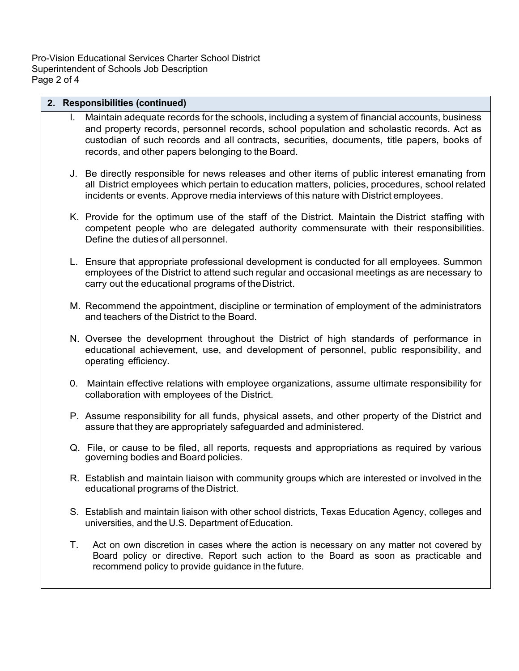Pro-Vision Educational Services Charter School District Superintendent of Schools Job Description Page 2 of 4

## **2. Responsibilities (continued)**

- I. Maintain adequate records for the schools, including a system of financial accounts, business and property records, personnel records, school population and scholastic records. Act as custodian of such records and all contracts, securities, documents, title papers, books of records, and other papers belonging to the Board.
- J. Be directly responsible for news releases and other items of public interest emanating from all District employees which pertain to education matters, policies, procedures, school related incidents or events. Approve media interviews of this nature with District employees.
- K. Provide for the optimum use of the staff of the District. Maintain the District staffing with competent people who are delegated authority commensurate with their responsibilities. Define the dutiesof all personnel.
- L. Ensure that appropriate professional development is conducted for all employees. Summon employees of the District to attend such regular and occasional meetings as are necessary to carry out the educational programs of the District.
- M. Recommend the appointment, discipline or termination of employment of the administrators and teachers of the District to the Board.
- N. Oversee the development throughout the District of high standards of performance in educational achievement, use, and development of personnel, public responsibility, and operating efficiency.
- 0. Maintain effective relations with employee organizations, assume ultimate responsibility for collaboration with employees of the District.
- P. Assume responsibility for all funds, physical assets, and other property of the District and assure that they are appropriately safeguarded and administered.
- Q. File, or cause to be filed, all reports, requests and appropriations as required by various governing bodies and Board policies.
- R. Establish and maintain liaison with community groups which are interested or involved in the educational programs of the District.
- S. Establish and maintain liaison with other school districts, Texas Education Agency, colleges and universities, and the U.S. Department ofEducation.
- T. Act on own discretion in cases where the action is necessary on any matter not covered by Board policy or directive. Report such action to the Board as soon as practicable and recommend policy to provide guidance in the future.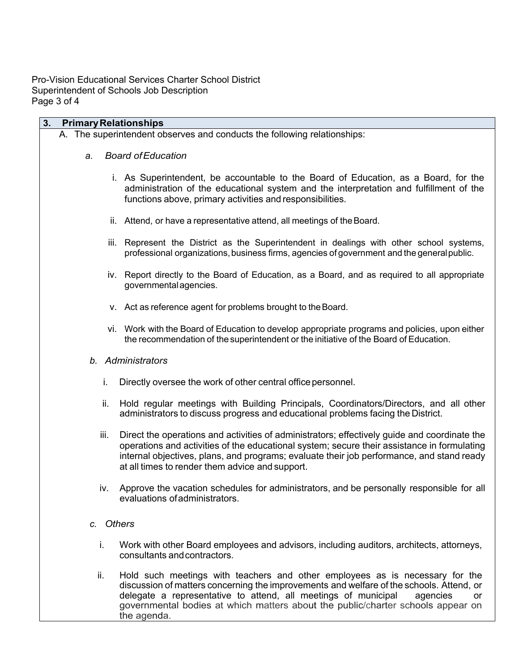Pro-Vision Educational Services Charter School District Superintendent of Schools Job Description Page 3 of 4

| 3.<br><b>Primary Relationships</b> |      |                                                                                                                                                                                                                                                                                                                                                                |  |  |
|------------------------------------|------|----------------------------------------------------------------------------------------------------------------------------------------------------------------------------------------------------------------------------------------------------------------------------------------------------------------------------------------------------------------|--|--|
|                                    |      | A. The superintendent observes and conducts the following relationships:                                                                                                                                                                                                                                                                                       |  |  |
|                                    | a.   | <b>Board of Education</b>                                                                                                                                                                                                                                                                                                                                      |  |  |
|                                    |      | i. As Superintendent, be accountable to the Board of Education, as a Board, for the<br>administration of the educational system and the interpretation and fulfillment of the<br>functions above, primary activities and responsibilities.                                                                                                                     |  |  |
|                                    |      | ii. Attend, or have a representative attend, all meetings of the Board.                                                                                                                                                                                                                                                                                        |  |  |
|                                    |      | iii. Represent the District as the Superintendent in dealings with other school systems,<br>professional organizations, business firms, agencies of government and the general public.                                                                                                                                                                         |  |  |
|                                    |      | iv. Report directly to the Board of Education, as a Board, and as required to all appropriate<br>governmental agencies.                                                                                                                                                                                                                                        |  |  |
|                                    |      | v. Act as reference agent for problems brought to the Board.                                                                                                                                                                                                                                                                                                   |  |  |
|                                    |      | vi. Work with the Board of Education to develop appropriate programs and policies, upon either<br>the recommendation of the superintendent or the initiative of the Board of Education.                                                                                                                                                                        |  |  |
| b. Administrators                  |      |                                                                                                                                                                                                                                                                                                                                                                |  |  |
|                                    | i.   | Directly oversee the work of other central office personnel.                                                                                                                                                                                                                                                                                                   |  |  |
|                                    | ii.  | Hold regular meetings with Building Principals, Coordinators/Directors, and all other<br>administrators to discuss progress and educational problems facing the District.                                                                                                                                                                                      |  |  |
|                                    | iii. | Direct the operations and activities of administrators; effectively guide and coordinate the<br>operations and activities of the educational system; secure their assistance in formulating<br>internal objectives, plans, and programs; evaluate their job performance, and stand ready<br>at all times to render them advice and support.                    |  |  |
|                                    | iv.  | Approve the vacation schedules for administrators, and be personally responsible for all<br>evaluations of administrators.                                                                                                                                                                                                                                     |  |  |
| c. Others                          |      |                                                                                                                                                                                                                                                                                                                                                                |  |  |
|                                    | i.   | Work with other Board employees and advisors, including auditors, architects, attorneys,<br>consultants and contractors.                                                                                                                                                                                                                                       |  |  |
|                                    | ii.  | Hold such meetings with teachers and other employees as is necessary for the<br>discussion of matters concerning the improvements and welfare of the schools. Attend, or<br>delegate a representative to attend, all meetings of municipal<br>agencies<br>or<br>governmental bodies at which matters about the public/charter schools appear on<br>the agenda. |  |  |